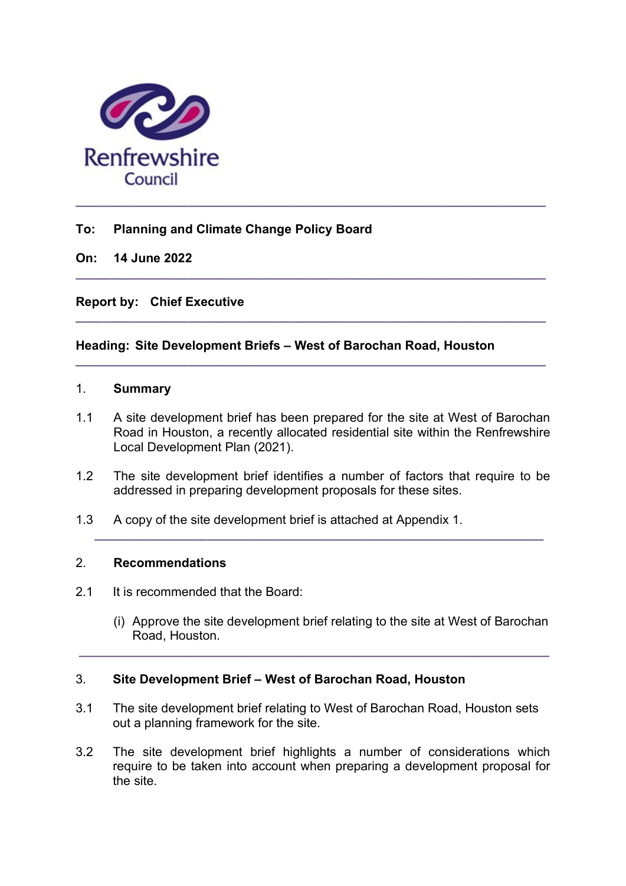

## To: Planning and Climate Change Policy Board

On: 14 June 2022

Report by: Chief Executive

## Heading: Site Development Briefs – West of Barochan Road, Houston

## 1. Summary

1.1 A site development brief has been prepared for the site at West of Barochan Road in Houston, a recently allocated residential site within the Renfrewshire Local Development Plan (2021).

 $\_$  ,  $\_$  ,  $\_$  ,  $\_$  ,  $\_$  ,  $\_$  ,  $\_$  ,  $\_$  ,  $\_$  ,  $\_$  ,  $\_$  ,  $\_$  ,  $\_$  ,  $\_$  ,  $\_$  ,  $\_$  ,  $\_$  ,  $\_$  ,  $\_$ 

 $\_$  , and the set of the set of the set of the set of the set of the set of the set of the set of the set of the set of the set of the set of the set of the set of the set of the set of the set of the set of the set of th

 $\_$  ,  $\_$  ,  $\_$  ,  $\_$  ,  $\_$  ,  $\_$  ,  $\_$  ,  $\_$  ,  $\_$  ,  $\_$  ,  $\_$  ,  $\_$  ,  $\_$  ,  $\_$  ,  $\_$  ,  $\_$  ,  $\_$  ,  $\_$  ,  $\_$ 

1.2 The site development brief identifies a number of factors that require to be addressed in preparing development proposals for these sites.

\_\_\_\_\_\_\_\_\_\_\_\_\_\_\_\_\_\_\_\_\_\_\_\_\_\_\_\_\_\_\_\_\_\_\_\_\_\_\_\_\_\_\_\_\_\_\_\_\_\_\_\_\_\_\_\_\_\_\_\_\_\_\_\_

1.3 A copy of the site development brief is attached at Appendix 1.

#### 2. Recommendations

- 2.1 It is recommended that the Board:
	- (i) Approve the site development brief relating to the site at West of Barochan Road, Houston.

#### 3. Site Development Brief – West of Barochan Road, Houston

3.1 The site development brief relating to West of Barochan Road, Houston sets out a planning framework for the site.

\_\_\_\_\_\_\_\_\_\_\_\_\_\_\_\_\_\_\_\_\_\_\_\_\_\_\_\_\_\_\_\_\_\_\_\_\_\_\_\_\_\_\_\_\_\_\_\_\_\_\_\_\_\_\_\_\_\_\_\_\_\_\_\_\_\_\_

3.2 The site development brief highlights a number of considerations which require to be taken into account when preparing a development proposal for the site.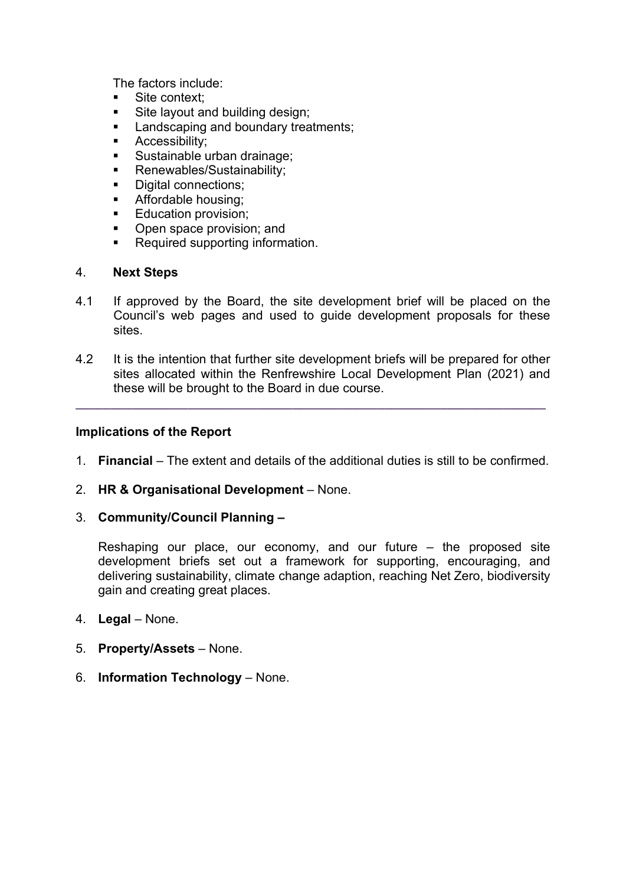The factors include:

- Site context:
- Site layout and building design:
- **Landscaping and boundary treatments;**
- Accessibility;
- **Sustainable urban drainage;**
- Renewables/Sustainability;
- Digital connections;
- Affordable housing;
- Education provision;
- Open space provision; and
- **Required supporting information.**

#### 4. Next Steps

- 4.1 If approved by the Board, the site development brief will be placed on the Council's web pages and used to guide development proposals for these sites.
- 4.2 It is the intention that further site development briefs will be prepared for other sites allocated within the Renfrewshire Local Development Plan (2021) and these will be brought to the Board in due course.

 $\_$  ,  $\_$  ,  $\_$  ,  $\_$  ,  $\_$  ,  $\_$  ,  $\_$  ,  $\_$  ,  $\_$  ,  $\_$  ,  $\_$  ,  $\_$  ,  $\_$  ,  $\_$  ,  $\_$  ,  $\_$  ,  $\_$  ,  $\_$  ,  $\_$ 

#### Implications of the Report

- 1. Financial The extent and details of the additional duties is still to be confirmed.
- 2. HR & Organisational Development None.
- 3. Community/Council Planning –

Reshaping our place, our economy, and our future  $-$  the proposed site development briefs set out a framework for supporting, encouraging, and delivering sustainability, climate change adaption, reaching Net Zero, biodiversity gain and creating great places.

- 4. Legal None.
- 5. Property/Assets None.
- 6. Information Technology None.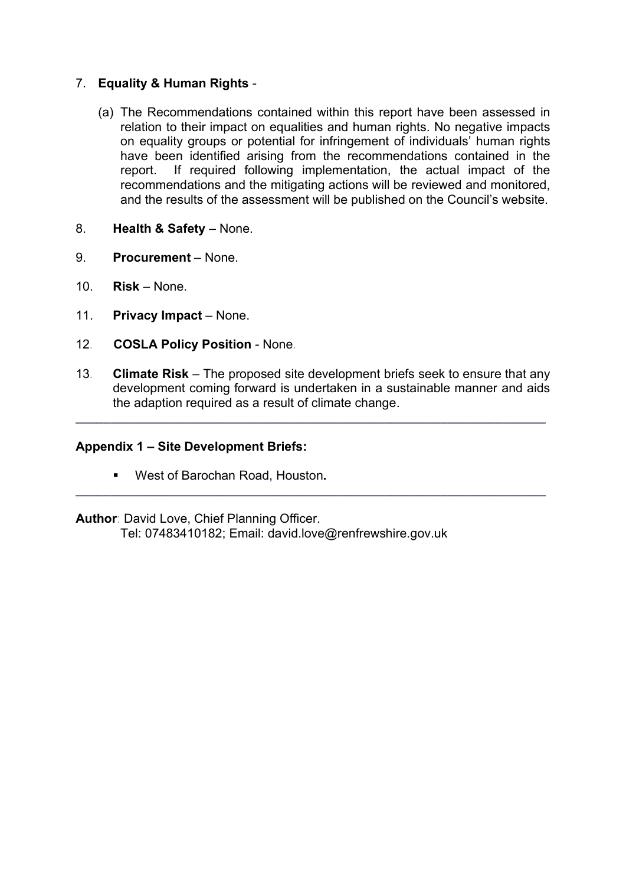## 7. Equality & Human Rights -

- (a) The Recommendations contained within this report have been assessed in relation to their impact on equalities and human rights. No negative impacts on equality groups or potential for infringement of individuals' human rights have been identified arising from the recommendations contained in the report. If required following implementation, the actual impact of the recommendations and the mitigating actions will be reviewed and monitored, and the results of the assessment will be published on the Council's website.
- 8. Health & Safety None.
- 9. Procurement None.
- 10. Risk None.
- 11. Privacy Impact None.
- 12. COSLA Policy Position None.
- 13. Climate Risk The proposed site development briefs seek to ensure that any development coming forward is undertaken in a sustainable manner and aids the adaption required as a result of climate change.

 $\_$  ,  $\_$  ,  $\_$  ,  $\_$  ,  $\_$  ,  $\_$  ,  $\_$  ,  $\_$  ,  $\_$  ,  $\_$  ,  $\_$  ,  $\_$  ,  $\_$  ,  $\_$  ,  $\_$  ,  $\_$  ,  $\_$  ,  $\_$  ,  $\_$ 

 $\_$  ,  $\_$  ,  $\_$  ,  $\_$  ,  $\_$  ,  $\_$  ,  $\_$  ,  $\_$  ,  $\_$  ,  $\_$  ,  $\_$  ,  $\_$  ,  $\_$  ,  $\_$  ,  $\_$  ,  $\_$  ,  $\_$  ,  $\_$  ,  $\_$ 

#### Appendix 1 – Site Development Briefs:

West of Barochan Road, Houston.

Author: David Love, Chief Planning Officer.

Tel: 07483410182; Email: david.love@renfrewshire.gov.uk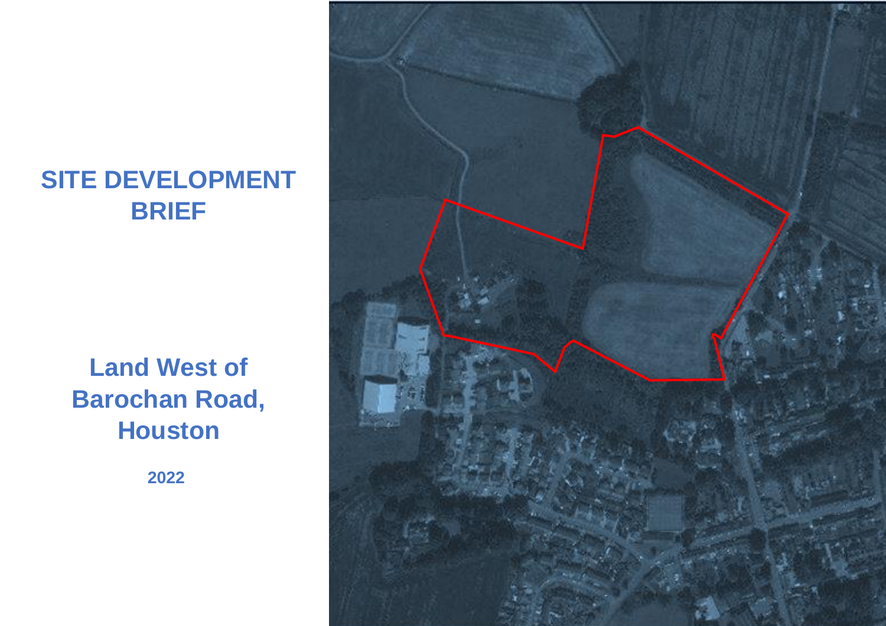# **SITE DEVELOPMENT BRIEF**

# **Land West of Barochan Road, Houston**

**2022**

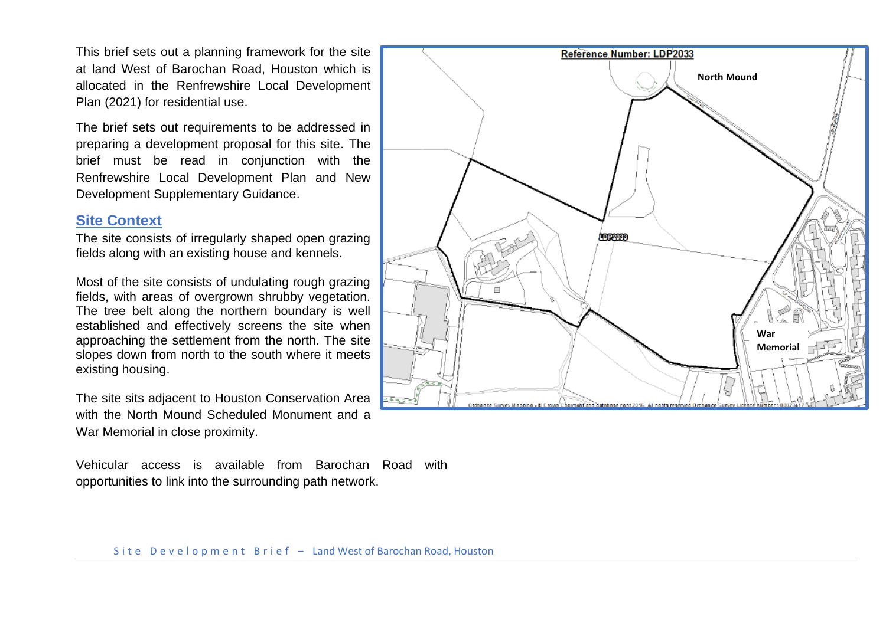This brief sets out a planning framework for the site at land West of Barochan Road, Houston which is allocated in the Renfrewshire Local Development Plan (2021) for residential use.

The brief sets out requirements to be addressed in preparing a development proposal for this site. The brief must be read in conjunction with the Renfrewshire Local Development Plan and New Development Supplementary Guidance.

### **Site Context**

The site consists of irregularly shaped open grazing fields along with an existing house and kennels.

Most of the site consists of undulating rough grazing fields, with areas of overgrown shrubby vegetation. The tree belt along the northern boundary is well established and effectively screens the site when approaching the settlement from the north. The site slopes down from north to the south where it meets existing housing.

The site sits adjacent to Houston Conservation Area with the North Mound Scheduled Monument and a War Memorial in close proximity.

Vehicular access is available from Barochan Road with opportunities to link into the surrounding path network.

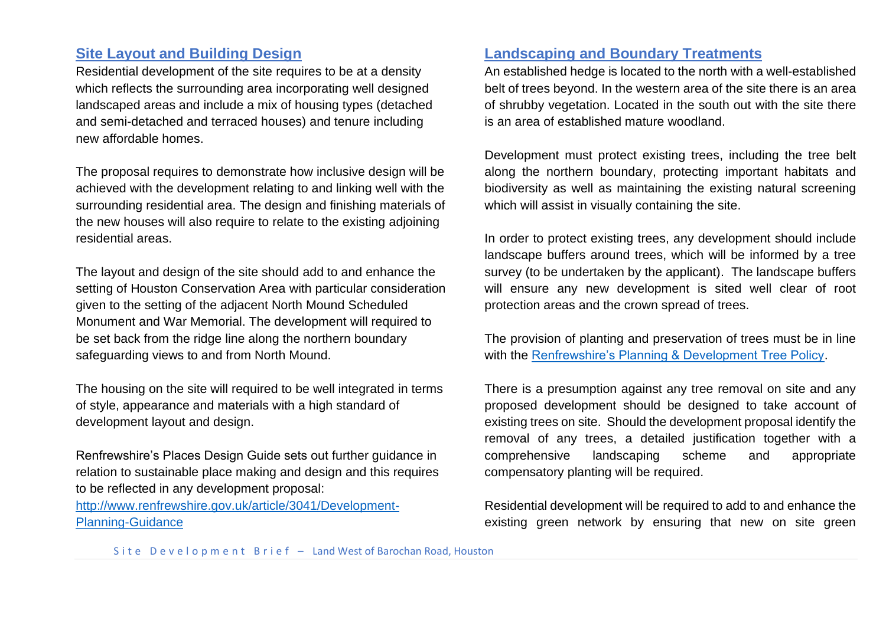# **Site Layout and Building Design**

Residential development of the site requires to be at a density which reflects the surrounding area incorporating well designed landscaped areas and include a mix of housing types (detached and semi-detached and terraced houses) and tenure including new affordable homes.

The proposal requires to demonstrate how inclusive design will be achieved with the development relating to and linking well with the surrounding residential area. The design and finishing materials of the new houses will also require to relate to the existing adjoining residential areas.

The layout and design of the site should add to and enhance the setting of Houston Conservation Area with particular consideration given to the setting of the adjacent North Mound Scheduled Monument and War Memorial. The development will required to be set back from the ridge line along the northern boundary safeguarding views to and from North Mound.

The housing on the site will required to be well integrated in terms of style, appearance and materials with a high standard of development layout and design.

Renfrewshire's Places Design Guide sets out further guidance in relation to sustainable place making and design and this requires to be reflected in any development proposal:

[http://www.renfrewshire.gov.uk/article/3041/Development-](http://www.renfrewshire.gov.uk/article/3041/Development-Planning-Guidance)[Planning-Guidance](http://www.renfrewshire.gov.uk/article/3041/Development-Planning-Guidance)

# **Landscaping and Boundary Treatments**

An established hedge is located to the north with a well-established belt of trees beyond. In the western area of the site there is an area of shrubby vegetation. Located in the south out with the site there is an area of established mature woodland.

Development must protect existing trees, including the tree belt along the northern boundary, protecting important habitats and biodiversity as well as maintaining the existing natural screening which will assist in visually containing the site.

In order to protect existing trees, any development should include landscape buffers around trees, which will be informed by a tree survey (to be undertaken by the applicant). The landscape buffers will ensure any new development is sited well clear of root protection areas and the crown spread of trees.

The provision of planting and preservation of trees must be in line with the [Renfrewshire's Planning & Development Tree Policy.](https://www.renfrewshire.gov.uk/article/2876/Trees-information-and-advice)

There is a presumption against any tree removal on site and any proposed development should be designed to take account of existing trees on site. Should the development proposal identify the removal of any trees, a detailed justification together with a comprehensive landscaping scheme and appropriate compensatory planting will be required.

Residential development will be required to add to and enhance the existing green network by ensuring that new on site green

Site Development Brief - Land West of Barochan Road, Houston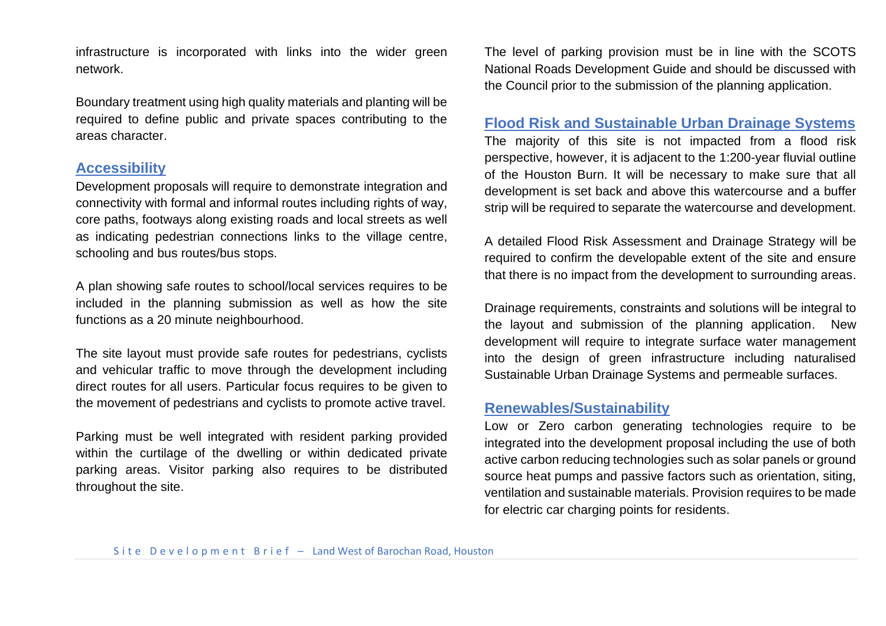infrastructure is incorporated with links into the wider green network.

Boundary treatment using high quality materials and planting will be required to define public and private spaces contributing to the areas character.

## **Accessibility**

Development proposals will require to demonstrate integration and connectivity with formal and informal routes including rights of way, core paths, footways along existing roads and local streets as well as indicating pedestrian connections links to the village centre, schooling and bus routes/bus stops.

A plan showing safe routes to school/local services requires to be included in the planning submission as well as how the site functions as a 20 minute neighbourhood.

The site layout must provide safe routes for pedestrians, cyclists and vehicular traffic to move through the development including direct routes for all users. Particular focus requires to be given to the movement of pedestrians and cyclists to promote active travel.

Parking must be well integrated with resident parking provided within the curtilage of the dwelling or within dedicated private parking areas. Visitor parking also requires to be distributed throughout the site.

The level of parking provision must be in line with the SCOTS National Roads Development Guide and should be discussed with the Council prior to the submission of the planning application.

## **Flood Risk and Sustainable Urban Drainage Systems**

The majority of this site is not impacted from a flood risk perspective, however, it is adjacent to the 1:200-year fluvial outline of the Houston Burn. It will be necessary to make sure that all development is set back and above this watercourse and a buffer strip will be required to separate the watercourse and development.

A detailed Flood Risk Assessment and Drainage Strategy will be required to confirm the developable extent of the site and ensure that there is no impact from the development to surrounding areas.

Drainage requirements, constraints and solutions will be integral to the layout and submission of the planning application. New development will require to integrate surface water management into the design of green infrastructure including naturalised Sustainable Urban Drainage Systems and permeable surfaces.

## **Renewables/Sustainability**

Low or Zero carbon generating technologies require to be integrated into the development proposal including the use of both active carbon reducing technologies such as solar panels or ground source heat pumps and passive factors such as orientation, siting, ventilation and sustainable materials. Provision requires to be made for electric car charging points for residents.